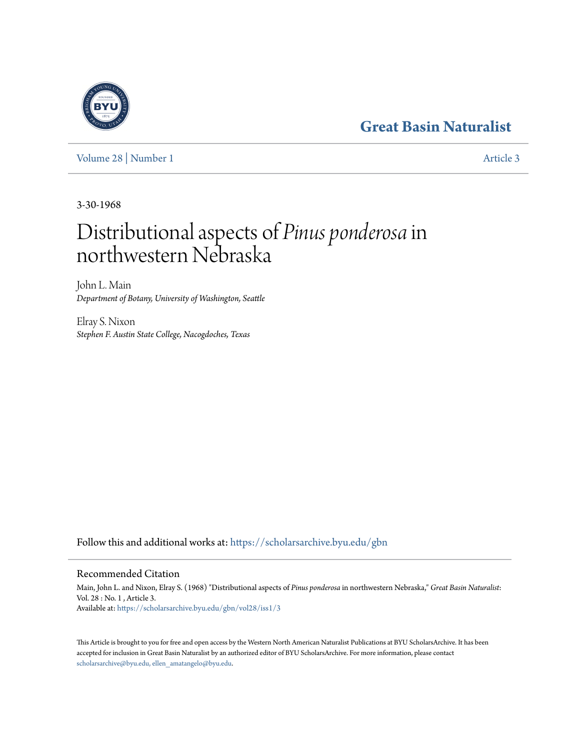# **[Great Basin Naturalist](https://scholarsarchive.byu.edu/gbn?utm_source=scholarsarchive.byu.edu%2Fgbn%2Fvol28%2Fiss1%2F3&utm_medium=PDF&utm_campaign=PDFCoverPages)**

[Volume 28](https://scholarsarchive.byu.edu/gbn/vol28?utm_source=scholarsarchive.byu.edu%2Fgbn%2Fvol28%2Fiss1%2F3&utm_medium=PDF&utm_campaign=PDFCoverPages) | [Number 1](https://scholarsarchive.byu.edu/gbn/vol28/iss1?utm_source=scholarsarchive.byu.edu%2Fgbn%2Fvol28%2Fiss1%2F3&utm_medium=PDF&utm_campaign=PDFCoverPages) [Article 3](https://scholarsarchive.byu.edu/gbn/vol28/iss1/3?utm_source=scholarsarchive.byu.edu%2Fgbn%2Fvol28%2Fiss1%2F3&utm_medium=PDF&utm_campaign=PDFCoverPages)

3-30-1968

# Distributional aspects of *Pinus ponderosa*in northwestern Nebraska

John L. Main *Department of Botany, University of Washington, Seattle*

Elray S. Nixon *Stephen F. Austin State College, Nacogdoches, Texas*

Follow this and additional works at: [https://scholarsarchive.byu.edu/gbn](https://scholarsarchive.byu.edu/gbn?utm_source=scholarsarchive.byu.edu%2Fgbn%2Fvol28%2Fiss1%2F3&utm_medium=PDF&utm_campaign=PDFCoverPages)

## Recommended Citation

Main, John L. and Nixon, Elray S. (1968) "Distributional aspects of *Pinus ponderosa* in northwestern Nebraska," *Great Basin Naturalist*: Vol. 28 : No. 1 , Article 3. Available at: [https://scholarsarchive.byu.edu/gbn/vol28/iss1/3](https://scholarsarchive.byu.edu/gbn/vol28/iss1/3?utm_source=scholarsarchive.byu.edu%2Fgbn%2Fvol28%2Fiss1%2F3&utm_medium=PDF&utm_campaign=PDFCoverPages)

This Article is brought to you for free and open access by the Western North American Naturalist Publications at BYU ScholarsArchive. It has been accepted for inclusion in Great Basin Naturalist by an authorized editor of BYU ScholarsArchive. For more information, please contact [scholarsarchive@byu.edu, ellen\\_amatangelo@byu.edu.](mailto:scholarsarchive@byu.edu,%20ellen_amatangelo@byu.edu)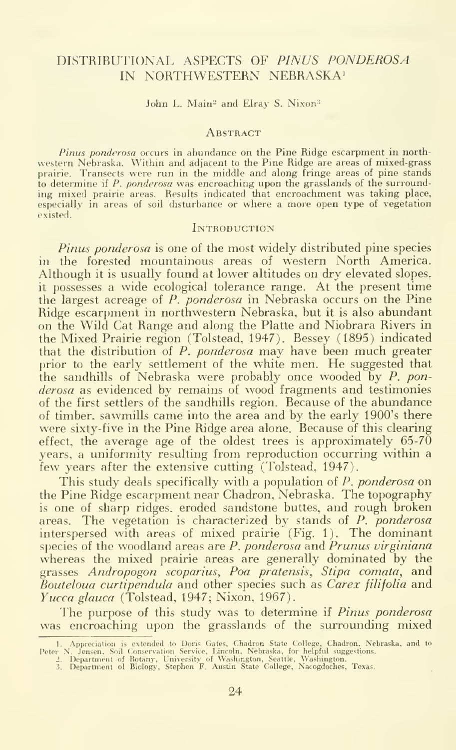### DISTRIBUTIONAL ASPECTS OF PINUS PONDEROSA IN NORTHWESTERN NEBRASKA<sup>1</sup>

John L. Main<sup>2</sup> and Elray S. Nixon<sup>3</sup>

#### **ABSTRACT**

Pinus ponderosa occurs in abundance on the Pine Ridge escarpment in north western Nebraska. Within and adjacent to the Pine Ridge are areas of mixed-grass prairie. Transects were run in the middle and along fringe areas of pine stands to determine if  $P$ . ponderosa was encroaching upon the grasslands of the surrounding mixed prairie areas. Results indicated that encroachment was taking place, especially in areas of soil disturbance or where a more open type of vegetation existed.

#### **INTRODUCTION**

Pinus ponderosa is one of the most widely distributed pine species in the forested mountainous areas of western North America. Although it is usually found at lower altitudes on dry elevated slopes. it possesses a wide ecological tolerance range. At the present time the largest acreage of  $P$ . ponderosa in Nebraska occurs on the Pine Ridge escarpment in northwestern Nebraska, but it is also abundant on the Wild Cat Range and along the Platte and Niobrara Rivers in the Mixed Prairie region (Tolstead, 1947). Bessey (1895) indicated that the distribution of P. ponderosa may have been much greater prior to the early settlement of the white men. He suggested that the sandhills of Nebraska were probably once wooded by P. ponderosa as evidenced by remains of wood fragments and testimonies of the first settlers of the sandhills region. Because of the abundance of timber, sawmills came into the area and by the early 1900's there were sixty-five in the Pine Ridge area alone. Because of this clearing effect, the average age of the oldest trees is approximately  $65-70$ years, a uniformity resulting from reproduction occurring within a few years after the extensive cutting (Tolstead, 1947).

This study deals specifically with a population of P. ponderosa on the Pine Ridge escarpment near Chadron, Nebraska. The topography is one of sharp ridges, eroded sandstone buttes, and rough broken areas. The vegetation is characterized by stands of P. ponderosa interspersed with areas of mixed prairie (Fig. 1). The dominant species of the woodland areas are  $P$ , ponderosa and Prunus virginiana whereas the mixed prairie areas are generally dominated by the grasses Andropogon scoparius, Poa pratensis, Stipa comata, and Bouteloua curtipendula and other species such as Carex filifolia and Yucca glauca (Tolstead, 1947; Nixon, 1967).

The purpose of this study was to determine if Pinus ponderosa was encroaching upon the grasslands of the surrounding mixed

<sup>1.</sup> Appreciation is extended to Doris Gates, Chadron State College, Chadron, Nebraska, and to<br>Peter N. Jensen, Soil Conservation Service, Lincoln, Nebraska, for helpful suggestions.<br>2. Department of Botany, University of Wa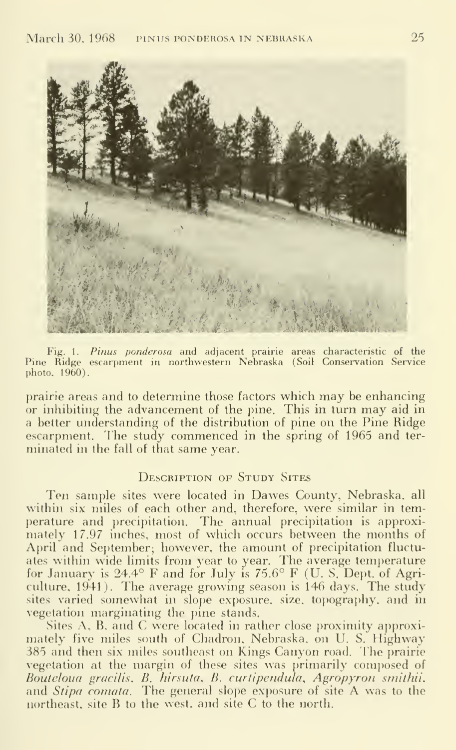

Fig. 1. Pinus ponderosa and adjacent prairie areas characteristic of the Pine Ridge escarpment in northwestern Nebraska (Soil Conservation Service photo, 1960).

prairie areas and to determine those factors which may be enhancing or inhibiting the advancement of the pine. This in turn may aid in a better understanding of the distribution of pine on the Pine Ridge escarpment. The study commenced in the spring of 1965 and terminated in the fall of that same year.

#### DESCRIPTION OF STUDY SITES

Ten sample sites were located in Dawes County, Nebraska, all within six miles of each other and, therefore, were similar in temperature and precipitation. The annual precipitation is approximately 17.97 inches, most of which occurs between the months of April and September; however, the amount of precipitation fluctuates within wide limits from year to year. The average temperature for January is 24.4° F and for July is 75.6° F (U. S. Dept. of Agriculture, 1941). The average growing season is 146 days. The study sites varied somewhat in slope exposure, size, topography, and in vegetation marginating the pine stands.

Sites A, B, and C were located in rather close proximity approximately five miles south of Chadron. Nebraska, on U. S. Highway 385 and then six miles southeast on Kings Canyon road. The prairie vegetation at the margin of these sites was primarily composed of Bouteloua gracilis^ B. hirsuta, B. curtipendula, Agropyron smithii. and Stipa comata. The general slope exposure of site A was to the northeast, site B to the west, and site C to the north.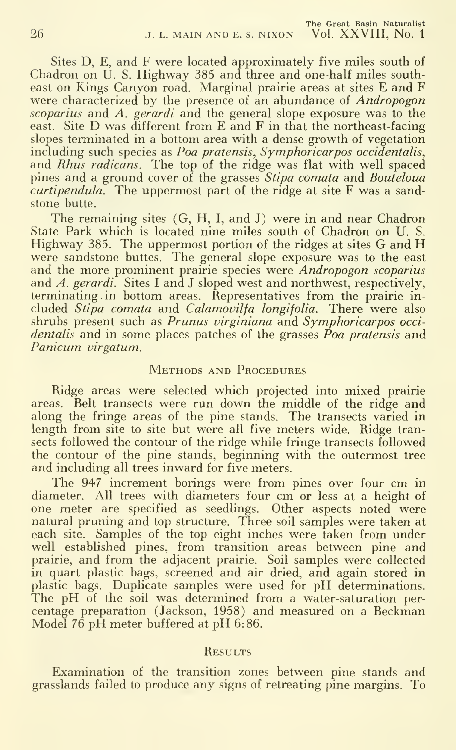Sites D, E, and F were located approximately five miles south of Chadron on U. S. Highway 385 and three and one-half miles southeast on Kings Canyon road. Marginal prairie areas at sites E and F were characterized by the presence of an abundance of Andropogon scoparius and A. gerardi and the general slope exposure was to the east. Site D was different from E and F in that the northeast-facing slopes terminated in a bottom area with a dense growth of vegetation including such species as Poa pratensis, Symphoricarpos occidentalis, and *Rhus radicans*. The top of the ridge was flat with well spaced pines and a ground cover of the grasses *Stipa comata* and *Bouteloua*  $\alpha$ *curtipendula*. The uppermost part of the ridge at site  $F$  was a sandstone butte.

The remaining sites (G, H, I, and J) were in and near Chadron State Park which is located nine miles south of Chadron on U. S. Highway 385. The uppermost portion of the ridges at sites G and H were sandstone buttes. The general slope exposure was to the east and the more prominent prairie species were Andropogon scoparius and A. gerardi. Sites <sup>I</sup> and J sloped west and northwest, respectively, terminating in bottom areas. Representatives from the prairie in cluded Stipa comata and Calamovilfa longifolia. There were also shrubs present such as Prunus virginiana and Symphoricarpos occi dentalis and in some places patches of the grasses  $\vec{P}$ oa pratensis and Panicum virgatum.

#### Methods and Procedures

Ridge areas were selected which projected into mixed prairie areas. Belt transects were run down the middle of the ridge and along the fringe areas of the pine stands. The transects varied in length from site to site but were all five meters wide. Ridge transects followed the contour of the ridge while fringe transects followed the contour of the pine stands, beginning with the outermost tree and including all trees inward for five meters.

The 947 increment borings were from pines over four cm in diameter. All trees with diameters four cm or less at <sup>a</sup> height of one meter are specified as seedlings. Other aspects noted were natural pruning and top structure. Three soil samples were taken at each site. Samples of the top eight inches were taken from under well established pines, from transition areas between pine and prairie, and from the adjacent prairie. Soil samples were collected in quart plastic bags, screened and air dried, and again stored in plastic bags. Duplicate samples were used for pH determinations. The pH of the soil was determined from a water-saturation percentage preparation (Jackson, 1958) and measured on <sup>a</sup> Beckman Model <sup>76</sup> pH meter buffered at pH 6:86.

#### **RESULTS**

Examination of the transition zones between pine stands and grasslands failed to produce any signs of retreating pine margins. To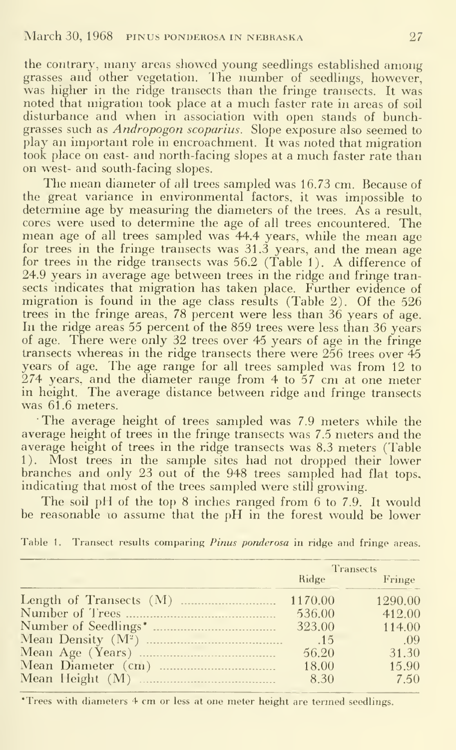the contrary, many areas showed young seedhngs established among grasses and other vegetation. The number of seedlings, however, was higher in the ridge transects than the fringe transects. It was noted that migration took place at <sup>a</sup> much faster rate in areas of soil disturbance and when in association with open stands of bunchgrasses such as Andropogon scoparius. Slope exposure also seemed to play an important role in encroachment. It was noted that migration took place on east- and north-facing slopes at a much faster rate than on west- and south-facing slopes.

The mean diameter of all trees sampled was 16.73 cm. Because of the great variance in environmental factors, it was impossible to determine age by measuring the diameters of the trees. As a result, cores were used to determine the age of all trees encountered. The mean age of all trees sampled was 44.4 years, while the mean age for trees in the fringe transects was 31.3 years, and the mean age for trees in the ridge transects was 56.2 (Table 1). A difference of 24.9 years in average age between trees in the ridge and fringe transects indicates that migration has taken place. Further evidence of migration is found in the age class results (Table 2). Of the 526 trees in the fringe areas, 78 percent were less than 36 years of age. In the ridge areas 55 percent of the 859 trees were less than 36 years of age. There were only 32 trees over 45 years of age in the fringe transects whereas in the ridge transects there were  $256$  trees over  $45$ years of age. The age range for all trees sampled was from 12 to 274 years, and the diameter range from 4 to 57 cm at one meter in height. The average distance between ridge and fringe transects was 61.6 meters.

The average height of trees sampled was 7.9 meters while the average height of trees in the fringe transects was 7.5 meters and the average height of trees in the ridge transects was 8.3 meters (Table 1). Most trees in the sample sites had not dropped their lower branches and only 23 out of the 948 trees sampled had flat tops, indicating that most of the trees sampled were still growing.

The soil pH of the top  $8$  inches ranged from  $6$  to 7.9. It would be reasonable to assume that the pH in the forest would be lower

|         | <b>Transects</b> |  |  |
|---------|------------------|--|--|
| Ridge   | Fringe           |  |  |
| 1170.00 | 1290.00          |  |  |
| 536.00  | 412.00           |  |  |
| 323.00  | 114.00           |  |  |
|         | - .09            |  |  |
| 56.20   | 31.30            |  |  |
| 18.00   | 15.90            |  |  |
| 8.30    | 7.50             |  |  |

Table 1. Transect results comparing Pinus ponderosa in ridge and fringe areas.

\*Trees with diameters 4 cm or less at one meter height are termed seedlings.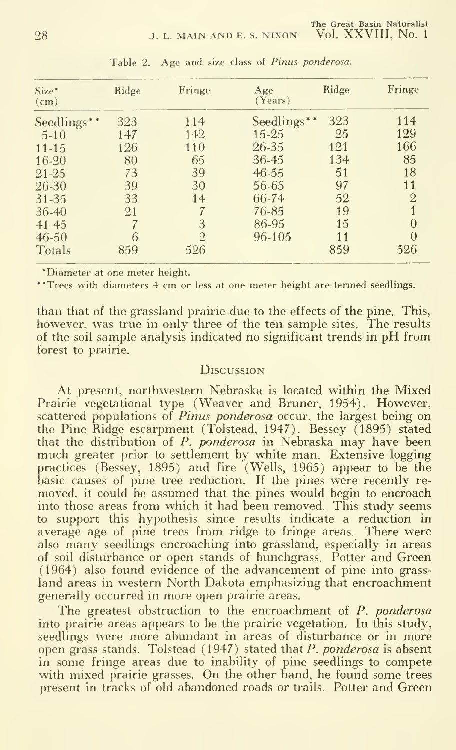| Size*<br>$\epsilon$ (cm) | Ridge | Fringe         | Age<br>(Years) | Ridge | Fringe         |
|--------------------------|-------|----------------|----------------|-------|----------------|
| Seedlings**              | 323   | 114            | Seedlings**    | 323   | 114            |
| $5-10$                   | 147   | 142            | $15 - 25$      | 25    | 129            |
| $11 - 15$                | 126   | 110            | 26-35          | 121   | 166            |
| $16 - 20$                | 80    | 65             | 36-45          | 134   | 85             |
| $21 - 25$                | 73    | 39             | $46 - 55$      | 51    | 18             |
| 26-30                    | 39    | 30             | 56-65          | 97    | 11             |
| 31-35                    | 33    | 14             | 66-74          | 52    | $\overline{2}$ |
| $36 - 40$                | 21    |                | 76-85          | 19    |                |
| $41 - 45$                |       | 3              | 86-95          | 15    | 0              |
| $46 - 50$                |       | $\overline{2}$ | 96-105         | 11    | $\theta$       |
| Totals                   | 859   | 526            |                | 859   | 526            |

Table 2. Age and size class of Pinus ponderosa.

\*Diameter at one meter height.

\*\*Trees with diameters 4 cm or less at one meter height are termed seedlings.

than that of the grassland prairie due to the effects of the pine. This, however, was true in only three of the ten sample sites. The results of the soil sample analysis indicated no significant trends in pH from forest to prairie.

#### DISCUSSION

At present, northwestern Nebraska is located within the Mixed Prairie vegetational type (Weaver and Bruner, 1954). However, scattered populations of *Pinus ponderosa* occur, the largest being on the Pine Ridge escarpment (Tolstead, 1947). Bessey (1895) stated that the distribution of *P. ponderosa* in Nebraska may have been much greater prior to settlement by white man. Extensive logging practices (Bessey, 1895) and fire (Wells, 1965) appear to be the basic causes of pine tree reduction. If the pines were recently re-<br>moved, it could be assumed that the pines would begin to encroach into those areas from which it had been removed. This study seems to support this hypothesis since results indicate a reduction in average age of pine trees from ridge to fringe areas. There were also many seedlings encroaching into grassland, especially in areas of soil disturbance or open stands of bunchgrass. Potter and Green (1964) also found evidence of the advancement of pine into grassland areas in western North Dakota emphasizing that encroachment generally occurred in more open prairie areas.

The greatest obstruction to the encroachment of  $P$ , ponderosa into prairie areas appears to be the prairie vegetation. In this study, seedlings were more abundant in areas of disturbance or in more open grass stands. Tolstead (1947) stated that  $P$ . ponderosa is absent in some fringe areas due to inability of pine seedlings to compete with mixed prairie grasses. On the other hand, he found some trees present in tracks of old abandoned roads or trails. Potter and Green